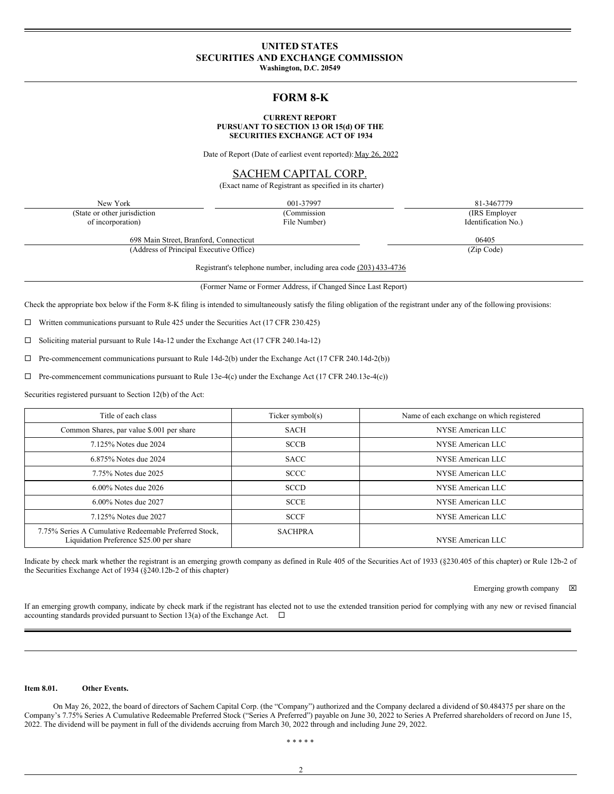# **UNITED STATES SECURITIES AND EXCHANGE COMMISSION**

**Washington, D.C. 20549**

# **FORM 8-K**

#### **CURRENT REPORT PURSUANT TO SECTION 13 OR 15(d) OF THE SECURITIES EXCHANGE ACT OF 1934**

Date of Report (Date of earliest event reported): May 26, 2022

# SACHEM CAPITAL CORP.

(Exact name of Registrant as specified in its charter)

New York 001-37997 81-3467779 (State or other jurisdiction of incorporation)

(Commission File Number) (IRS Employer

Identification No.)

698 Main Street, Branford, Connecticut 06405 (Address of Principal Executive Office) (Zip Code)

Registrant's telephone number, including area code (203) 433-4736

(Former Name or Former Address, if Changed Since Last Report)

Check the appropriate box below if the Form 8-K filing is intended to simultaneously satisfy the filing obligation of the registrant under any of the following provisions:

 $\Box$  Written communications pursuant to Rule 425 under the Securities Act (17 CFR 230.425)

 $\square$  Soliciting material pursuant to Rule 14a-12 under the Exchange Act (17 CFR 240.14a-12)

 $\Box$  Pre-commencement communications pursuant to Rule 14d-2(b) under the Exchange Act (17 CFR 240.14d-2(b))

 $\Box$  Pre-commencement communications pursuant to Rule 13e-4(c) under the Exchange Act (17 CFR 240.13e-4(c))

Securities registered pursuant to Section 12(b) of the Act:

| Title of each class                                                                               | Ticker symbol(s) | Name of each exchange on which registered |
|---------------------------------------------------------------------------------------------------|------------------|-------------------------------------------|
| Common Shares, par value \$.001 per share                                                         | <b>SACH</b>      | NYSE American LLC                         |
| 7.125% Notes due 2024                                                                             | <b>SCCB</b>      | NYSE American LLC                         |
| 6.875% Notes due 2024                                                                             | <b>SACC</b>      | NYSE American LLC                         |
| 7.75% Notes due 2025                                                                              | <b>SCCC</b>      | NYSE American LLC                         |
| $6.00\%$ Notes due 2026                                                                           | <b>SCCD</b>      | NYSE American LLC                         |
| 6.00% Notes due 2027                                                                              | <b>SCCE</b>      | NYSE American LLC                         |
| 7.125% Notes due 2027                                                                             | <b>SCCF</b>      | NYSE American LLC                         |
| 7.75% Series A Cumulative Redeemable Preferred Stock,<br>Liquidation Preference \$25.00 per share | <b>SACHPRA</b>   | NYSE American LLC                         |

Indicate by check mark whether the registrant is an emerging growth company as defined in Rule 405 of the Securities Act of 1933 (§230.405 of this chapter) or Rule 12b-2 of the Securities Exchange Act of 1934 (§240.12b-2 of this chapter)

Emerging growth company  $\boxtimes$ 

If an emerging growth company, indicate by check mark if the registrant has elected not to use the extended transition period for complying with any new or revised financial accounting standards provided pursuant to Section 13(a) of the Exchange Act.  $\Box$ 

### **Item 8.01. Other Events.**

On May 26, 2022, the board of directors of Sachem Capital Corp. (the "Company") authorized and the Company declared a dividend of \$0.484375 per share on the Company's 7.75% Series A Cumulative Redeemable Preferred Stock ("Series A Preferred") payable on June 30, 2022 to Series A Preferred shareholders of record on June 15, 2022. The dividend will be payment in full of the dividends accruing from March 30, 2022 through and including June 29, 2022.

\* \* \* \* \*